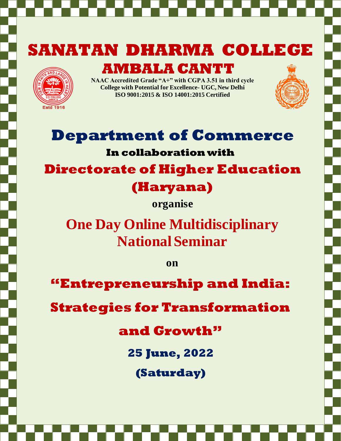# **SANATAN DHARMA COLLEGE**



**AMBALA CANTT**

**NAAC Accredited Grade "A+" with CGPA 3.51 in third cycle College with Potential for Excellence- UGC, New Delhi ISO 9001:2015 & ISO 14001:2015 Certified**



# **Department of Commerce**

### **In collaboration with**

**Directorate of Higher Education** 

# **(Haryana)**

**organise**

**One Day Online Multidisciplinary National Seminar**

**on**

**"Entrepreneurship and India:**

**Strategies for Transformation** 

**and Growth"**

**25 June, 2022**

**(Saturday)**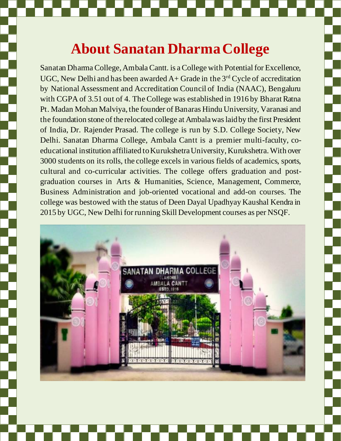# **About Sanatan Dharma College**

Sanatan Dharma College, Ambala Cantt. is a College with Potential for Excellence, UGC, New Delhi and has been awarded  $A+$  Grade in the 3<sup>rd</sup> Cycle of accreditation by National Assessment and Accreditation Council of India (NAAC), Bengaluru with CGPA of 3.51 out of 4. The College was established in 1916 by Bharat Ratna Pt. Madan Mohan Malviya, the founder of Banaras Hindu University, Varanasi and the foundation stone of the relocated college at Ambala was laid by the first President of India, Dr. Rajender Prasad. The college is run by S.D. College Society, New Delhi. Sanatan Dharma College, Ambala Cantt is a premier multi-faculty, coeducational institution affiliated to Kurukshetra University, Kurukshetra. With over 3000 students on its rolls, the college excels in various fields of academics, sports, cultural and co-curricular activities. The college offers graduation and postgraduation courses in Arts & Humanities, Science, Management, Commerce, Business Administration and job-oriented vocational and add-on courses. The college was bestowed with the status of Deen Dayal Upadhyay Kaushal Kendra in 2015 by UGC, New Delhi for running Skill Development courses as per NSQF.

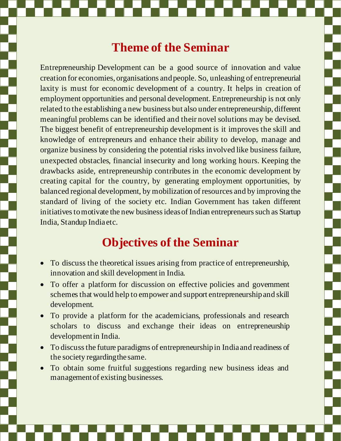## **Theme of the Seminar**

Entrepreneurship Development can be a good source of innovation and value creation for economies, organisations and people. So, unleashing of entrepreneurial laxity is must for economic development of a country. It helps in creation of employment opportunities and personal development. Entrepreneurship is not only related to the establishing a new business but also under entrepreneurship, different meaningful problems can be identified and their novel solutions may be devised. The biggest benefit of entrepreneurship development is it improves the skill and knowledge of entrepreneurs and enhance their ability to develop, manage and organize business by considering the potential risks involved like business failure, unexpected obstacles, financial insecurity and long working hours. Keeping the drawbacks aside, entrepreneurship contributes in the economic development by creating capital for the country, by generating employment opportunities, by balanced regional development, by mobilization of resources and by improving the standard of living of the society etc. Indian Government has taken different initiatives to motivate the new business ideas of Indian entrepreneurs such as Startup India, Standup India etc.

## **Objectives of the Seminar**

- To discuss the theoretical issues arising from practice of entrepreneurship, innovation and skill development in India.
- To offer a platform for discussion on effective policies and government schemesthat would help to empower and support entrepreneurship and skill development.
- To provide a platform for the academicians, professionals and research scholars to discuss and exchange their ideas on entrepreneurship developmentin India.
- To discuss the future paradigms of entrepreneurship in India and readiness of the society regardingthe same.
- To obtain some fruitful suggestions regarding new business ideas and management of existing businesses.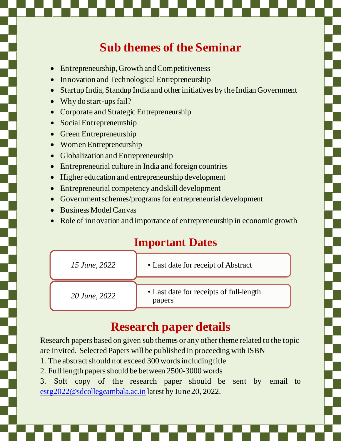# **Sub themes of the Seminar**

- Entrepreneurship, Growth and Competitiveness
- Innovation and Technological Entrepreneurship
- Startup India, Standup India and other initiatives by the Indian Government
- Why do start-ups fail?
- Corporate and Strategic Entrepreneurship
- Social Entrepreneurship
- Green Entrepreneurship
- Women Entrepreneurship
- Globalization and Entrepreneurship
- Entrepreneurial culture in India and foreign countries
- Higher education and entrepreneurship development
- Entrepreneurial competency and skill development
- Government schemes/programs for entrepreneurial development
- Business Model Canvas
- Role of innovation and importance of entrepreneurship in economic growth

### **Important Dates**

| 15 June, 2022 | • Last date for receipt of Abstract               |
|---------------|---------------------------------------------------|
| 20 June, 2022 | • Last date for receipts of full-length<br>papers |

## **Research paper details**

Research papers based on given sub themes or any other theme related to the topic are invited. Selected Papers will be published in proceeding with ISBN

- 1. The abstract should not exceed 300 words including title
- 2. Full length papers should be between 2500-3000 words
- 3. Soft copy of the research paper should be sent by email to [estg2022@sdcollegeambala.ac.in](mailto:estg2022@sdcollegeambala.ac.in) latest by June 20, 2022.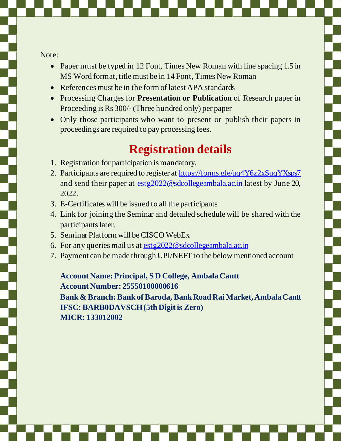Note:

- Paper must be typed in 12 Font, Times New Roman with line spacing 1.5 in MS Word format, title must be in 14 Font, Times New Roman
- References must be in the form of latest APA standards
- Processing Charges for **Presentation or Publication** of Research paper in Proceeding is Rs 300/-(Three hundred only) per paper
- Only those participants who want to present or publish their papers in proceedings are required to pay processing fees.

## **Registration details**

- 1. Registration for participation is mandatory.
- 2. Participants are required to register a[t https://forms.gle/uq4Y6z2xSuqYXsps7](https://forms.gle/uq4Y6z2xSuqYXsps7) and send their paper at [estg2022@sdcollegeambala.ac.in](mailto:estg2022@sdcollegeambala.ac.in) latest by June 20, 2022.
- 3. E-Certificates will be issued to all the participants
- 4. Link for joining the Seminar and detailed schedule will be shared with the participants later.
- 5. Seminar Platform will be CISCO WebEx
- 6. For any queries mail us a[t estg2022@sdcollegeambala.ac.in](mailto:estg2022@sdcollegeambala.ac.in)
- 7. Payment can be made through UPI/NEFT to the below mentioned account

**Account Name: Principal, S D College, Ambala Cantt Account Number: 25550100000616**

**Bank & Branch: Bank of Baroda, Bank Road Rai Market, Ambala Cantt IFSC: BARB0DAVSCH (5th Digit is Zero) MICR: 133012002**